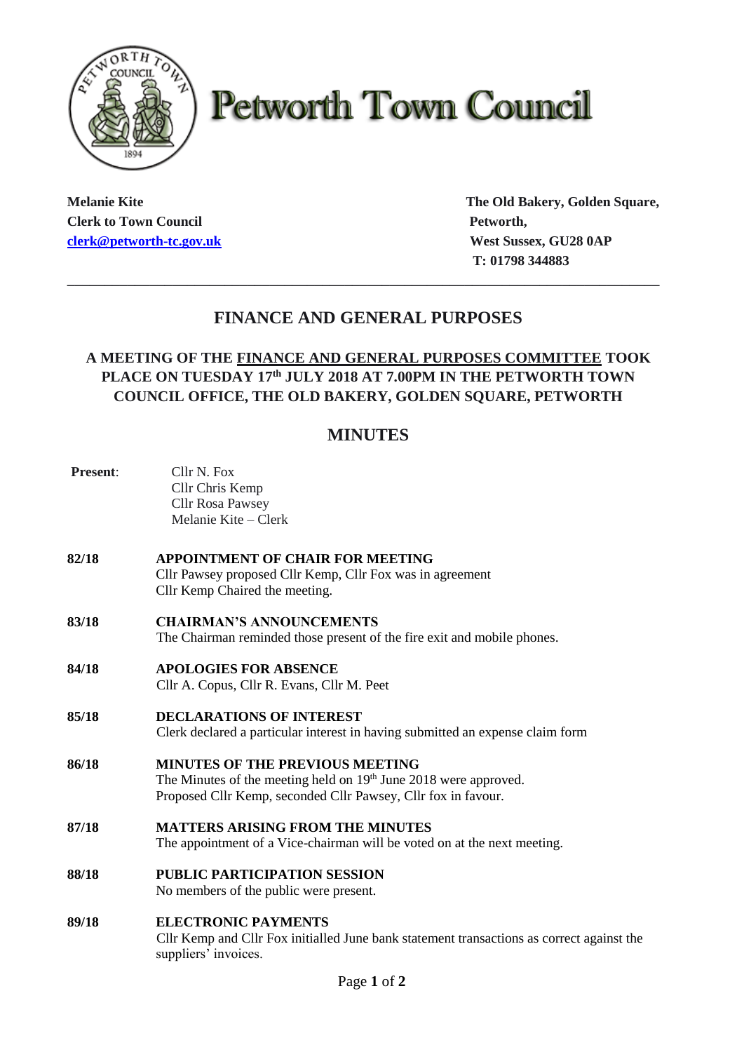

# **Petworth Town Council**

**Clerk to Town Council Petworth, Petworth, [clerk@petworth-tc.gov.uk](mailto:clerk@petworth-tc.gov.uk) West Sussex, GU28 0AP**

**Melanie Kite The Old Bakery, Golden Square, T: 01798 344883**

## **FINANCE AND GENERAL PURPOSES**

**\_\_\_\_\_\_\_\_\_\_\_\_\_\_\_\_\_\_\_\_\_\_\_\_\_\_\_\_\_\_\_\_\_\_\_\_\_\_\_\_\_\_\_\_\_\_\_\_\_\_\_\_\_\_\_\_\_\_\_\_\_\_\_\_\_\_\_\_\_\_\_\_\_\_\_\_\_\_\_**

## **A MEETING OF THE FINANCE AND GENERAL PURPOSES COMMITTEE TOOK PLACE ON TUESDAY 17 th JULY 2018 AT 7.00PM IN THE PETWORTH TOWN COUNCIL OFFICE, THE OLD BAKERY, GOLDEN SQUARE, PETWORTH**

## **MINUTES**

| Present: | Cllr N. Fox<br>Cllr Chris Kemp<br>Cllr Rosa Pawsey<br>Melanie Kite – Clerk                                                                                                              |
|----------|-----------------------------------------------------------------------------------------------------------------------------------------------------------------------------------------|
| 82/18    | APPOINTMENT OF CHAIR FOR MEETING<br>Cllr Pawsey proposed Cllr Kemp, Cllr Fox was in agreement<br>Cllr Kemp Chaired the meeting.                                                         |
| 83/18    | <b>CHAIRMAN'S ANNOUNCEMENTS</b><br>The Chairman reminded those present of the fire exit and mobile phones.                                                                              |
| 84/18    | <b>APOLOGIES FOR ABSENCE</b><br>Cllr A. Copus, Cllr R. Evans, Cllr M. Peet                                                                                                              |
| 85/18    | <b>DECLARATIONS OF INTEREST</b><br>Clerk declared a particular interest in having submitted an expense claim form                                                                       |
| 86/18    | <b>MINUTES OF THE PREVIOUS MEETING</b><br>The Minutes of the meeting held on 19 <sup>th</sup> June 2018 were approved.<br>Proposed Cllr Kemp, seconded Cllr Pawsey, Cllr fox in favour. |
| 87/18    | <b>MATTERS ARISING FROM THE MINUTES</b><br>The appointment of a Vice-chairman will be voted on at the next meeting.                                                                     |
| 88/18    | <b>PUBLIC PARTICIPATION SESSION</b><br>No members of the public were present.                                                                                                           |
| 89/18    | <b>ELECTRONIC PAYMENTS</b><br>Cllr Kemp and Cllr Fox initialled June bank statement transactions as correct against the<br>suppliers' invoices.                                         |